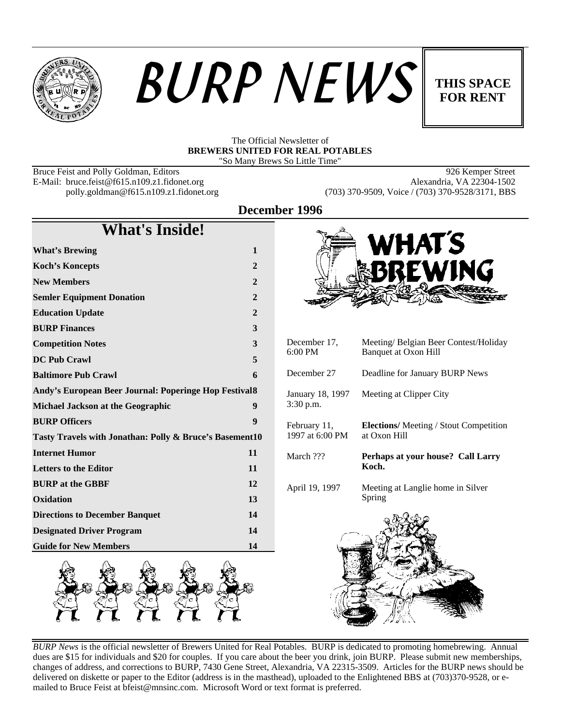





#### The Official Newsletter of **BREWERS UNITED FOR REAL POTABLES** "So Many Brews So Little Time"

Bruce Feist and Polly Goldman, Editors 926 Kemper Street<br>
E-Mail: bruce.feist@f615.n109.z1.fidonet.org Alexandria, VA 22304-1502 E-Mail: bruce.feist@f615.n109.z1.fidonet.org<br>polly.goldman@f615.n109.z1.fidonet.org

(703) 370-9509, Voice / (703) 370-9528/3171, BBS

**December 1996**

| <b>What's Inside!</b>                                   |              |
|---------------------------------------------------------|--------------|
| <b>What's Brewing</b>                                   | 1            |
| <b>Koch's Koncepts</b>                                  | $\mathbf{2}$ |
| <b>New Members</b>                                      | $\mathbf{2}$ |
| <b>Semler Equipment Donation</b>                        | $\mathbf{2}$ |
| <b>Education Update</b>                                 | $\mathbf{2}$ |
| <b>BURP Finances</b>                                    | 3            |
| <b>Competition Notes</b>                                | 3            |
| <b>DC Pub Crawl</b>                                     | 5            |
| <b>Baltimore Pub Crawl</b>                              | 6            |
| Andy's European Beer Journal: Poperinge Hop Festival 8  |              |
| <b>Michael Jackson at the Geographic</b>                | 9            |
| <b>BURP Officers</b>                                    | 9            |
| Tasty Travels with Jonathan: Polly & Bruce's Basement10 |              |
| <b>Internet Humor</b>                                   | 11           |
| <b>Letters to the Editor</b>                            | 11           |
| <b>BURP</b> at the GBBF                                 | 12           |
| Oxidation                                               | 13           |
| <b>Directions to December Banquet</b>                   | 14           |
| <b>Designated Driver Program</b>                        | 14           |
| <b>Guide for New Members</b>                            | 14           |



*BURP News* is the official newsletter of Brewers United for Real Potables. BURP is dedicated to promoting homebrewing. Annual dues are \$15 for individuals and \$20 for couples. If you care about the beer you drink, join BURP. Please submit new memberships, changes of address, and corrections to BURP, 7430 Gene Street, Alexandria, VA 22315-3509. Articles for the BURP news should be delivered on diskette or paper to the Editor (address is in the masthead), uploaded to the Enlightened BBS at (703)370-9528, or emailed to Bruce Feist at bfeist@mnsinc.com. Microsoft Word or text format is preferred.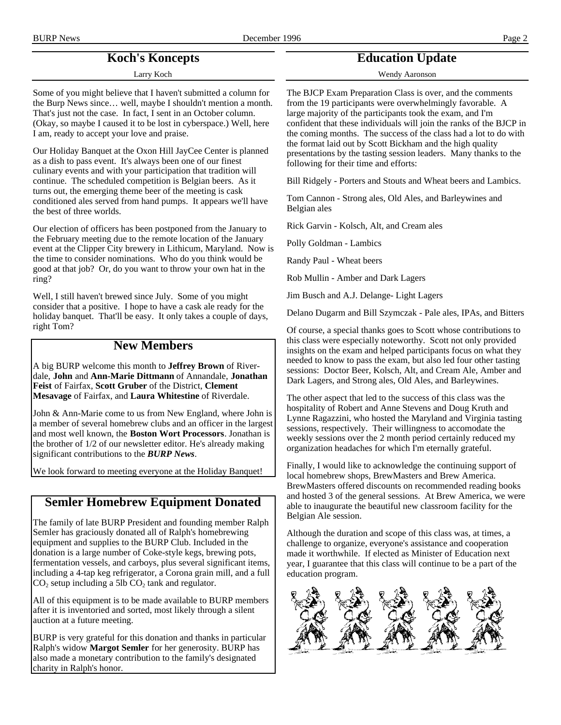# **Koch's Koncepts**

Larry Koch

Some of you might believe that I haven't submitted a column for the Burp News since… well, maybe I shouldn't mention a month. That's just not the case. In fact, I sent in an October column. (Okay, so maybe I caused it to be lost in cyberspace.) Well, here I am, ready to accept your love and praise.

Our Holiday Banquet at the Oxon Hill JayCee Center is planned as a dish to pass event. It's always been one of our finest culinary events and with your participation that tradition will continue. The scheduled competition is Belgian beers. As it turns out, the emerging theme beer of the meeting is cask conditioned ales served from hand pumps. It appears we'll have the best of three worlds.

Our election of officers has been postponed from the January to the February meeting due to the remote location of the January event at the Clipper City brewery in Lithicum, Maryland. Now is the time to consider nominations. Who do you think would be good at that job? Or, do you want to throw your own hat in the ring?

Well, I still haven't brewed since July. Some of you might consider that a positive. I hope to have a cask ale ready for the holiday banquet. That'll be easy. It only takes a couple of days, right Tom?

## **New Members**

A big BURP welcome this month to **Jeffrey Brown** of Riverdale, **John** and **Ann-Marie Dittmann** of Annandale, **Jonathan Feist** of Fairfax, **Scott Gruber** of the District, **Clement Mesavage** of Fairfax, and **Laura Whitestine** of Riverdale.

John & Ann-Marie come to us from New England, where John is a member of several homebrew clubs and an officer in the largest and most well known, the **Boston Wort Processors**. Jonathan is the brother of 1/2 of our newsletter editor. He's already making significant contributions to the *BURP News*.

We look forward to meeting everyone at the Holiday Banquet!

## **Semler Homebrew Equipment Donated**

The family of late BURP President and founding member Ralph Semler has graciously donated all of Ralph's homebrewing equipment and supplies to the BURP Club. Included in the donation is a large number of Coke-style kegs, brewing pots, fermentation vessels, and carboys, plus several significant items, including a 4-tap keg refrigerator, a Corona grain mill, and a full  $CO<sub>2</sub>$  setup including a 5lb  $CO<sub>2</sub>$  tank and regulator.

All of this equipment is to be made available to BURP members after it is inventoried and sorted, most likely through a silent auction at a future meeting.

BURP is very grateful for this donation and thanks in particular Ralph's widow **Margot Semler** for her generosity. BURP has also made a monetary contribution to the family's designated charity in Ralph's honor.

# **Education Update**

Wendy Aaronson

The BJCP Exam Preparation Class is over, and the comments from the 19 participants were overwhelmingly favorable. A large majority of the participants took the exam, and I'm confident that these individuals will join the ranks of the BJCP in the coming months. The success of the class had a lot to do with the format laid out by Scott Bickham and the high quality presentations by the tasting session leaders. Many thanks to the following for their time and efforts:

Bill Ridgely - Porters and Stouts and Wheat beers and Lambics.

Tom Cannon - Strong ales, Old Ales, and Barleywines and Belgian ales

Rick Garvin - Kolsch, Alt, and Cream ales

Polly Goldman - Lambics

Randy Paul - Wheat beers

Rob Mullin - Amber and Dark Lagers

Jim Busch and A.J. Delange- Light Lagers

Delano Dugarm and Bill Szymczak - Pale ales, IPAs, and Bitters

Of course, a special thanks goes to Scott whose contributions to this class were especially noteworthy. Scott not only provided insights on the exam and helped participants focus on what they needed to know to pass the exam, but also led four other tasting sessions: Doctor Beer, Kolsch, Alt, and Cream Ale, Amber and Dark Lagers, and Strong ales, Old Ales, and Barleywines.

The other aspect that led to the success of this class was the hospitality of Robert and Anne Stevens and Doug Kruth and Lynne Ragazzini, who hosted the Maryland and Virginia tasting sessions, respectively. Their willingness to accomodate the weekly sessions over the 2 month period certainly reduced my organization headaches for which I'm eternally grateful.

Finally, I would like to acknowledge the continuing support of local homebrew shops, BrewMasters and Brew America. BrewMasters offered discounts on recommended reading books and hosted 3 of the general sessions. At Brew America, we were able to inaugurate the beautiful new classroom facility for the Belgian Ale session.

Although the duration and scope of this class was, at times, a challenge to organize, everyone's assistance and cooperation made it worthwhile. If elected as Minister of Education next year, I guarantee that this class will continue to be a part of the education program.

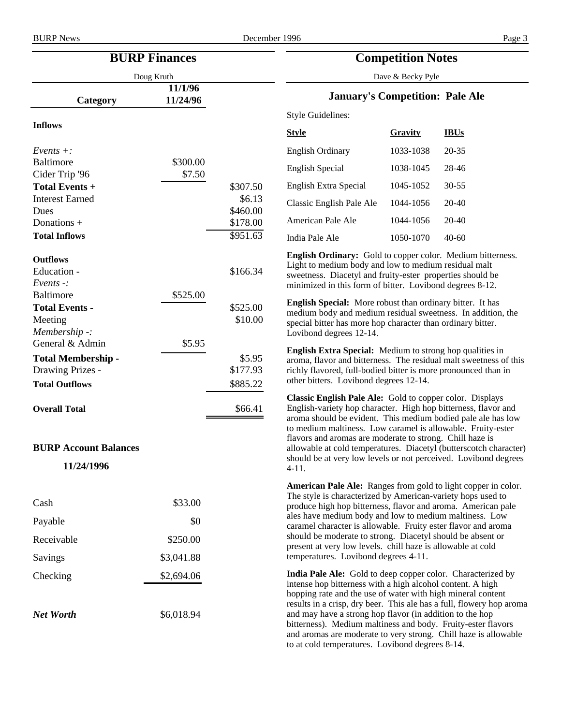| <b>BURP Finances</b><br><b>Competition Notes</b>   |                                 |          |                                                                                                                                                                                                                                                                                                                                                                                                                                                     |           |             |
|----------------------------------------------------|---------------------------------|----------|-----------------------------------------------------------------------------------------------------------------------------------------------------------------------------------------------------------------------------------------------------------------------------------------------------------------------------------------------------------------------------------------------------------------------------------------------------|-----------|-------------|
|                                                    | Doug Kruth<br>Dave & Becky Pyle |          |                                                                                                                                                                                                                                                                                                                                                                                                                                                     |           |             |
| Category                                           | 11/1/96<br>11/24/96             |          | <b>January's Competition: Pale Ale</b>                                                                                                                                                                                                                                                                                                                                                                                                              |           |             |
|                                                    |                                 |          | <b>Style Guidelines:</b>                                                                                                                                                                                                                                                                                                                                                                                                                            |           |             |
| <b>Inflows</b>                                     |                                 |          | <b>Style</b>                                                                                                                                                                                                                                                                                                                                                                                                                                        | Gravity   | <b>IBUs</b> |
| $Events +:$                                        |                                 |          | <b>English Ordinary</b>                                                                                                                                                                                                                                                                                                                                                                                                                             | 1033-1038 | 20-35       |
| <b>Baltimore</b>                                   | \$300.00                        |          | <b>English Special</b>                                                                                                                                                                                                                                                                                                                                                                                                                              | 1038-1045 | 28-46       |
| Cider Trip '96<br>Total Events +                   | \$7.50                          | \$307.50 | English Extra Special                                                                                                                                                                                                                                                                                                                                                                                                                               | 1045-1052 | $30 - 55$   |
| <b>Interest Earned</b>                             |                                 | \$6.13   |                                                                                                                                                                                                                                                                                                                                                                                                                                                     |           |             |
| Dues                                               |                                 | \$460.00 | Classic English Pale Ale                                                                                                                                                                                                                                                                                                                                                                                                                            | 1044-1056 | 20-40       |
| Donations +                                        |                                 | \$178.00 | American Pale Ale                                                                                                                                                                                                                                                                                                                                                                                                                                   | 1044-1056 | $20-40$     |
| <b>Total Inflows</b>                               |                                 | \$951.63 | India Pale Ale                                                                                                                                                                                                                                                                                                                                                                                                                                      | 1050-1070 | $40 - 60$   |
| <b>Outflows</b><br>Education -<br>Events $\cdot$ : |                                 | \$166.34 | English Ordinary: Gold to copper color. Medium bitterness.<br>Light to medium body and low to medium residual malt<br>sweetness. Diacetyl and fruity-ester properties should be<br>minimized in this form of bitter. Lovibond degrees 8-12.                                                                                                                                                                                                         |           |             |
| <b>Baltimore</b><br><b>Total Events -</b>          | \$525.00                        | \$525.00 | English Special: More robust than ordinary bitter. It has                                                                                                                                                                                                                                                                                                                                                                                           |           |             |
| Meeting                                            |                                 | \$10.00  | medium body and medium residual sweetness. In addition, the                                                                                                                                                                                                                                                                                                                                                                                         |           |             |
| Membership -:                                      |                                 |          | special bitter has more hop character than ordinary bitter.<br>Lovibond degrees 12-14.                                                                                                                                                                                                                                                                                                                                                              |           |             |
| General & Admin                                    | \$5.95                          |          | English Extra Special: Medium to strong hop qualities in                                                                                                                                                                                                                                                                                                                                                                                            |           |             |
| <b>Total Membership -</b>                          |                                 | \$5.95   | aroma, flavor and bitterness. The residual malt sweetness of this                                                                                                                                                                                                                                                                                                                                                                                   |           |             |
| Drawing Prizes -                                   |                                 | \$177.93 | richly flavored, full-bodied bitter is more pronounced than in                                                                                                                                                                                                                                                                                                                                                                                      |           |             |
| <b>Total Outflows</b>                              |                                 | \$885.22 | other bitters. Lovibond degrees 12-14.                                                                                                                                                                                                                                                                                                                                                                                                              |           |             |
| <b>Overall Total</b>                               |                                 | \$66.41  | Classic English Pale Ale: Gold to copper color. Displays<br>English-variety hop character. High hop bitterness, flavor and<br>aroma should be evident. This medium bodied pale ale has low<br>to medium maltiness. Low caramel is allowable. Fruity-ester                                                                                                                                                                                           |           |             |
|                                                    |                                 |          | flavors and aromas are moderate to strong. Chill haze is                                                                                                                                                                                                                                                                                                                                                                                            |           |             |
| <b>BURP Account Balances</b>                       |                                 |          | allowable at cold temperatures. Diacetyl (butterscotch character)<br>should be at very low levels or not perceived. Lovibond degrees                                                                                                                                                                                                                                                                                                                |           |             |
| 11/24/1996                                         |                                 |          | $4-11.$                                                                                                                                                                                                                                                                                                                                                                                                                                             |           |             |
| Cash                                               | \$33.00                         |          | American Pale Ale: Ranges from gold to light copper in color.<br>The style is characterized by American-variety hops used to<br>produce high hop bitterness, flavor and aroma. American pale                                                                                                                                                                                                                                                        |           |             |
| Payable                                            | \$0                             |          | ales have medium body and low to medium maltiness. Low<br>caramel character is allowable. Fruity ester flavor and aroma<br>should be moderate to strong. Diacetyl should be absent or<br>present at very low levels. chill haze is allowable at cold<br>temperatures. Lovibond degrees 4-11.                                                                                                                                                        |           |             |
| Receivable                                         | \$250.00                        |          |                                                                                                                                                                                                                                                                                                                                                                                                                                                     |           |             |
| Savings                                            | \$3,041.88                      |          |                                                                                                                                                                                                                                                                                                                                                                                                                                                     |           |             |
| Checking                                           | \$2,694.06                      |          | India Pale Ale: Gold to deep copper color. Characterized by                                                                                                                                                                                                                                                                                                                                                                                         |           |             |
| <b>Net Worth</b>                                   | \$6,018.94                      |          | intense hop bitterness with a high alcohol content. A high<br>hopping rate and the use of water with high mineral content<br>results in a crisp, dry beer. This ale has a full, flowery hop aroma<br>and may have a strong hop flavor (in addition to the hop<br>bitterness). Medium maltiness and body. Fruity-ester flavors<br>and aromas are moderate to very strong. Chill haze is allowable<br>to at cold temperatures. Lovibond degrees 8-14. |           |             |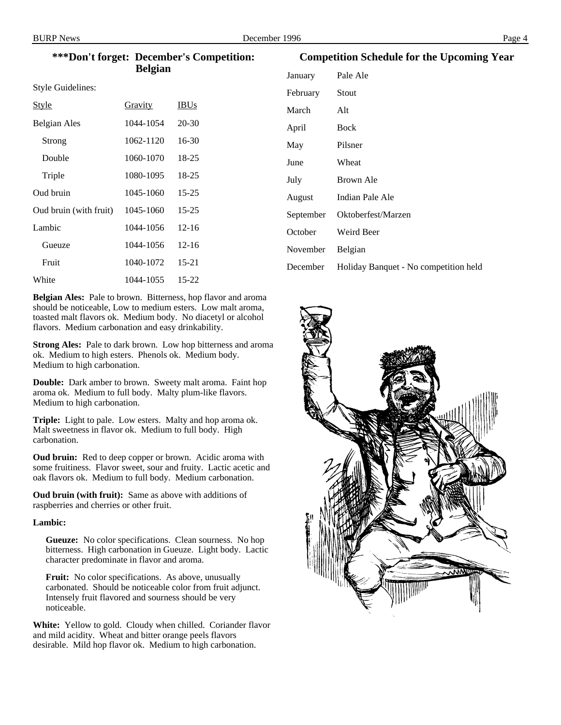#### **\*\*\*Don't forget: December's Competition: Belgian**

Style Guidelines:

| <u>Style</u>           | Gravity   | <b>IBUs</b> |
|------------------------|-----------|-------------|
| Belgian Ales           | 1044-1054 | $20 - 30$   |
| Strong                 | 1062-1120 | $16-30$     |
| Double                 | 1060-1070 | $18 - 25$   |
| Triple                 | 1080-1095 | 18-25       |
| Oud bruin              | 1045-1060 | $15 - 25$   |
| Oud bruin (with fruit) | 1045-1060 | $15 - 25$   |
| Lambic                 | 1044-1056 | $12 - 16$   |
| Gueuze                 | 1044-1056 | $12 - 16$   |
| Fruit                  | 1040-1072 | $15 - 21$   |
| White                  | 1044-1055 | $15 - 22$   |

**Belgian Ales:** Pale to brown. Bitterness, hop flavor and aroma should be noticeable, Low to medium esters. Low malt aroma, toasted malt flavors ok. Medium body. No diacetyl or alcohol flavors. Medium carbonation and easy drinkability.

**Strong Ales:** Pale to dark brown. Low hop bitterness and aroma ok. Medium to high esters. Phenols ok. Medium body. Medium to high carbonation.

**Double:** Dark amber to brown. Sweety malt aroma. Faint hop aroma ok. Medium to full body. Malty plum-like flavors. Medium to high carbonation.

**Triple:** Light to pale. Low esters. Malty and hop aroma ok. Malt sweetness in flavor ok. Medium to full body. High carbonation.

**Oud bruin:** Red to deep copper or brown. Acidic aroma with some fruitiness. Flavor sweet, sour and fruity. Lactic acetic and oak flavors ok. Medium to full body. Medium carbonation.

**Oud bruin (with fruit):** Same as above with additions of raspberries and cherries or other fruit.

#### **Lambic:**

**Gueuze:** No color specifications. Clean sourness. No hop bitterness. High carbonation in Gueuze. Light body. Lactic character predominate in flavor and aroma.

**Fruit:** No color specifications. As above, unusually carbonated. Should be noticeable color from fruit adjunct. Intensely fruit flavored and sourness should be very noticeable.

**White:** Yellow to gold. Cloudy when chilled. Coriander flavor and mild acidity. Wheat and bitter orange peels flavors desirable. Mild hop flavor ok. Medium to high carbonation.

#### **Competition Schedule for the Upcoming Year**

| January   | Pale Ale                              |
|-----------|---------------------------------------|
| February  | Stout                                 |
| March     | Alt                                   |
| April     | <b>Bock</b>                           |
| May       | Pilsner                               |
| June      | Wheat                                 |
| July      | Brown Ale                             |
| August    | Indian Pale Ale                       |
| September | Oktoberfest/Marzen                    |
| October   | Weird Beer                            |
| November  | <b>Belgian</b>                        |
| December  | Holiday Banquet - No competition held |
|           |                                       |

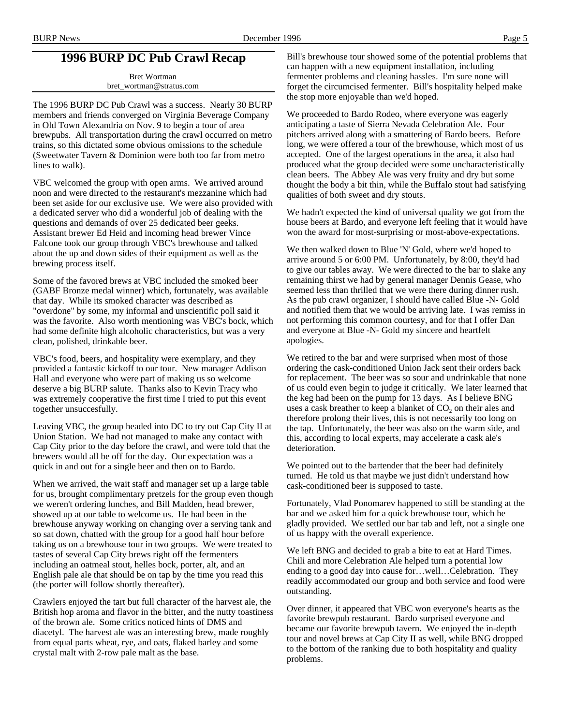# **1996 BURP DC Pub Crawl Recap**

Bret Wortman bret\_wortman@stratus.com

The 1996 BURP DC Pub Crawl was a success. Nearly 30 BURP members and friends converged on Virginia Beverage Company in Old Town Alexandria on Nov. 9 to begin a tour of area brewpubs. All transportation during the crawl occurred on metro trains, so this dictated some obvious omissions to the schedule (Sweetwater Tavern & Dominion were both too far from metro lines to walk).

VBC welcomed the group with open arms. We arrived around noon and were directed to the restaurant's mezzanine which had been set aside for our exclusive use. We were also provided with a dedicated server who did a wonderful job of dealing with the questions and demands of over 25 dedicated beer geeks. Assistant brewer Ed Heid and incoming head brewer Vince Falcone took our group through VBC's brewhouse and talked about the up and down sides of their equipment as well as the brewing process itself.

Some of the favored brews at VBC included the smoked beer (GABF Bronze medal winner) which, fortunately, was available that day. While its smoked character was described as "overdone" by some, my informal and unscientific poll said it was the favorite. Also worth mentioning was VBC's bock, which had some definite high alcoholic characteristics, but was a very clean, polished, drinkable beer.

VBC's food, beers, and hospitality were exemplary, and they provided a fantastic kickoff to our tour. New manager Addison Hall and everyone who were part of making us so welcome deserve a big BURP salute. Thanks also to Kevin Tracy who was extremely cooperative the first time I tried to put this event together unsuccesfully.

Leaving VBC, the group headed into DC to try out Cap City II at Union Station. We had not managed to make any contact with Cap City prior to the day before the crawl, and were told that the brewers would all be off for the day. Our expectation was a quick in and out for a single beer and then on to Bardo.

When we arrived, the wait staff and manager set up a large table for us, brought complimentary pretzels for the group even though we weren't ordering lunches, and Bill Madden, head brewer, showed up at our table to welcome us. He had been in the brewhouse anyway working on changing over a serving tank and so sat down, chatted with the group for a good half hour before taking us on a brewhouse tour in two groups. We were treated to tastes of several Cap City brews right off the fermenters including an oatmeal stout, helles bock, porter, alt, and an English pale ale that should be on tap by the time you read this (the porter will follow shortly thereafter).

Crawlers enjoyed the tart but full character of the harvest ale, the British hop aroma and flavor in the bitter, and the nutty toastiness of the brown ale. Some critics noticed hints of DMS and diacetyl. The harvest ale was an interesting brew, made roughly from equal parts wheat, rye, and oats, flaked barley and some crystal malt with 2-row pale malt as the base.

Bill's brewhouse tour showed some of the potential problems that can happen with a new equipment installation, including fermenter problems and cleaning hassles. I'm sure none will forget the circumcised fermenter. Bill's hospitality helped make the stop more enjoyable than we'd hoped.

We proceeded to Bardo Rodeo, where everyone was eagerly anticipating a taste of Sierra Nevada Celebration Ale. Four pitchers arrived along with a smattering of Bardo beers. Before long, we were offered a tour of the brewhouse, which most of us accepted. One of the largest operations in the area, it also had produced what the group decided were some uncharacteristically clean beers. The Abbey Ale was very fruity and dry but some thought the body a bit thin, while the Buffalo stout had satisfying qualities of both sweet and dry stouts.

We hadn't expected the kind of universal quality we got from the house beers at Bardo, and everyone left feeling that it would have won the award for most-surprising or most-above-expectations.

We then walked down to Blue 'N' Gold, where we'd hoped to arrive around 5 or 6:00 PM. Unfortunately, by 8:00, they'd had to give our tables away. We were directed to the bar to slake any remaining thirst we had by general manager Dennis Gease, who seemed less than thrilled that we were there during dinner rush. As the pub crawl organizer, I should have called Blue -N- Gold and notified them that we would be arriving late. I was remiss in not performing this common courtesy, and for that I offer Dan and everyone at Blue -N- Gold my sincere and heartfelt apologies.

We retired to the bar and were surprised when most of those ordering the cask-conditioned Union Jack sent their orders back for replacement. The beer was so sour and undrinkable that none of us could even begin to judge it critically. We later learned that the keg had been on the pump for 13 days. As I believe BNG uses a cask breather to keep a blanket of CO<sub>2</sub> on their ales and therefore prolong their lives, this is not necessarily too long on the tap. Unfortunately, the beer was also on the warm side, and this, according to local experts, may accelerate a cask ale's deterioration.

We pointed out to the bartender that the beer had definitely turned. He told us that maybe we just didn't understand how cask-conditioned beer is supposed to taste.

Fortunately, Vlad Ponomarev happened to still be standing at the bar and we asked him for a quick brewhouse tour, which he gladly provided. We settled our bar tab and left, not a single one of us happy with the overall experience.

We left BNG and decided to grab a bite to eat at Hard Times. Chili and more Celebration Ale helped turn a potential low ending to a good day into cause for…well…Celebration. They readily accommodated our group and both service and food were outstanding.

Over dinner, it appeared that VBC won everyone's hearts as the favorite brewpub restaurant. Bardo surprised everyone and became our favorite brewpub tavern. We enjoyed the in-depth tour and novel brews at Cap City II as well, while BNG dropped to the bottom of the ranking due to both hospitality and quality problems.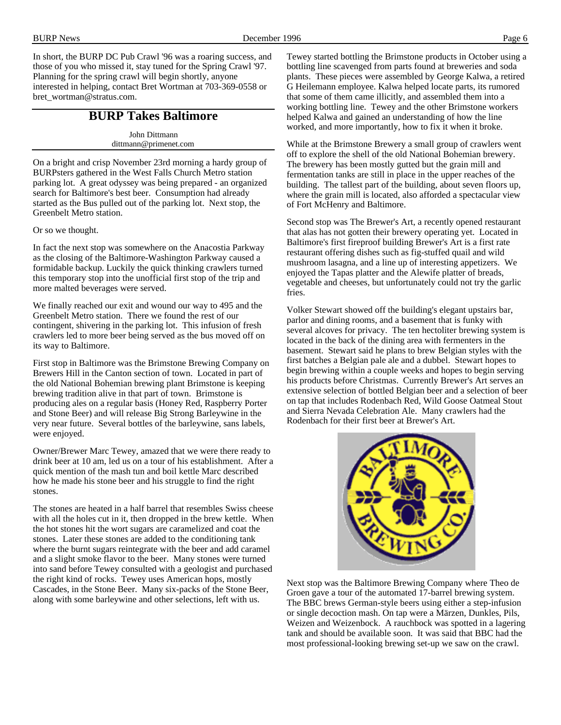In short, the BURP DC Pub Crawl '96 was a roaring success, and those of you who missed it, stay tuned for the Spring Crawl '97. Planning for the spring crawl will begin shortly, anyone interested in helping, contact Bret Wortman at 703-369-0558 or bret\_wortman@stratus.com.

## **BURP Takes Baltimore**

John Dittmann dittmann@primenet.com

On a bright and crisp November 23rd morning a hardy group of BURPsters gathered in the West Falls Church Metro station parking lot. A great odyssey was being prepared - an organized search for Baltimore's best beer. Consumption had already started as the Bus pulled out of the parking lot. Next stop, the Greenbelt Metro station.

Or so we thought.

In fact the next stop was somewhere on the Anacostia Parkway as the closing of the Baltimore-Washington Parkway caused a formidable backup. Luckily the quick thinking crawlers turned this temporary stop into the unofficial first stop of the trip and more malted beverages were served.

We finally reached our exit and wound our way to 495 and the Greenbelt Metro station. There we found the rest of our contingent, shivering in the parking lot. This infusion of fresh crawlers led to more beer being served as the bus moved off on its way to Baltimore.

First stop in Baltimore was the Brimstone Brewing Company on Brewers Hill in the Canton section of town. Located in part of the old National Bohemian brewing plant Brimstone is keeping brewing tradition alive in that part of town. Brimstone is producing ales on a regular basis (Honey Red, Raspberry Porter and Stone Beer) and will release Big Strong Barleywine in the very near future. Several bottles of the barleywine, sans labels, were enjoyed.

Owner/Brewer Marc Tewey, amazed that we were there ready to drink beer at 10 am, led us on a tour of his establishment. After a quick mention of the mash tun and boil kettle Marc described how he made his stone beer and his struggle to find the right stones.

The stones are heated in a half barrel that resembles Swiss cheese with all the holes cut in it, then dropped in the brew kettle. When the hot stones hit the wort sugars are caramelized and coat the stones. Later these stones are added to the conditioning tank where the burnt sugars reintegrate with the beer and add caramel and a slight smoke flavor to the beer. Many stones were turned into sand before Tewey consulted with a geologist and purchased the right kind of rocks. Tewey uses American hops, mostly Cascades, in the Stone Beer. Many six-packs of the Stone Beer, along with some barleywine and other selections, left with us.

Tewey started bottling the Brimstone products in October using a bottling line scavenged from parts found at breweries and soda plants. These pieces were assembled by George Kalwa, a retired G Heilemann employee. Kalwa helped locate parts, its rumored that some of them came illicitly, and assembled them into a working bottling line. Tewey and the other Brimstone workers helped Kalwa and gained an understanding of how the line worked, and more importantly, how to fix it when it broke.

While at the Brimstone Brewery a small group of crawlers went off to explore the shell of the old National Bohemian brewery. The brewery has been mostly gutted but the grain mill and fermentation tanks are still in place in the upper reaches of the building. The tallest part of the building, about seven floors up, where the grain mill is located, also afforded a spectacular view of Fort McHenry and Baltimore.

Second stop was The Brewer's Art, a recently opened restaurant that alas has not gotten their brewery operating yet. Located in Baltimore's first fireproof building Brewer's Art is a first rate restaurant offering dishes such as fig-stuffed quail and wild mushroom lasagna, and a line up of interesting appetizers. We enjoyed the Tapas platter and the Alewife platter of breads, vegetable and cheeses, but unfortunately could not try the garlic fries.

Volker Stewart showed off the building's elegant upstairs bar, parlor and dining rooms, and a basement that is funky with several alcoves for privacy. The ten hectoliter brewing system is located in the back of the dining area with fermenters in the basement. Stewart said he plans to brew Belgian styles with the first batches a Belgian pale ale and a dubbel. Stewart hopes to begin brewing within a couple weeks and hopes to begin serving his products before Christmas. Currently Brewer's Art serves an extensive selection of bottled Belgian beer and a selection of beer on tap that includes Rodenbach Red, Wild Goose Oatmeal Stout and Sierra Nevada Celebration Ale. Many crawlers had the Rodenbach for their first beer at Brewer's Art.



Next stop was the Baltimore Brewing Company where Theo de Groen gave a tour of the automated 17-barrel brewing system. The BBC brews German-style beers using either a step-infusion or single decoction mash. On tap were a Märzen, Dunkles, Pils, Weizen and Weizenbock. A rauchbock was spotted in a lagering tank and should be available soon. It was said that BBC had the most professional-looking brewing set-up we saw on the crawl.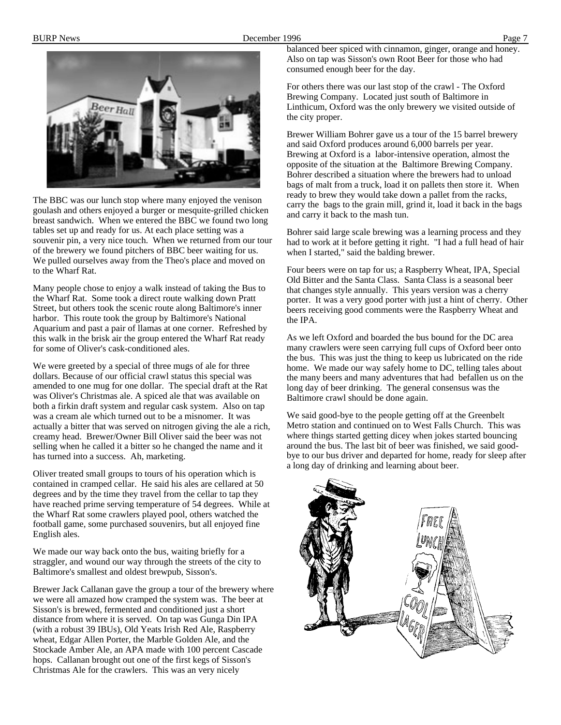

The BBC was our lunch stop where many enjoyed the venison goulash and others enjoyed a burger or mesquite-grilled chicken breast sandwich. When we entered the BBC we found two long tables set up and ready for us. At each place setting was a souvenir pin, a very nice touch. When we returned from our tour of the brewery we found pitchers of BBC beer waiting for us. We pulled ourselves away from the Theo's place and moved on to the Wharf Rat.

Many people chose to enjoy a walk instead of taking the Bus to the Wharf Rat. Some took a direct route walking down Pratt Street, but others took the scenic route along Baltimore's inner harbor. This route took the group by Baltimore's National Aquarium and past a pair of llamas at one corner. Refreshed by this walk in the brisk air the group entered the Wharf Rat ready for some of Oliver's cask-conditioned ales.

We were greeted by a special of three mugs of ale for three dollars. Because of our official crawl status this special was amended to one mug for one dollar. The special draft at the Rat was Oliver's Christmas ale. A spiced ale that was available on both a firkin draft system and regular cask system. Also on tap was a cream ale which turned out to be a misnomer. It was actually a bitter that was served on nitrogen giving the ale a rich, creamy head. Brewer/Owner Bill Oliver said the beer was not selling when he called it a bitter so he changed the name and it has turned into a success. Ah, marketing.

Oliver treated small groups to tours of his operation which is contained in cramped cellar. He said his ales are cellared at 50 degrees and by the time they travel from the cellar to tap they have reached prime serving temperature of 54 degrees. While at the Wharf Rat some crawlers played pool, others watched the football game, some purchased souvenirs, but all enjoyed fine English ales.

We made our way back onto the bus, waiting briefly for a straggler, and wound our way through the streets of the city to Baltimore's smallest and oldest brewpub, Sisson's.

Brewer Jack Callanan gave the group a tour of the brewery where we were all amazed how cramped the system was. The beer at Sisson's is brewed, fermented and conditioned just a short distance from where it is served. On tap was Gunga Din IPA (with a robust 39 IBUs), Old Yeats Irish Red Ale, Raspberry wheat, Edgar Allen Porter, the Marble Golden Ale, and the Stockade Amber Ale, an APA made with 100 percent Cascade hops. Callanan brought out one of the first kegs of Sisson's Christmas Ale for the crawlers. This was an very nicely

balanced beer spiced with cinnamon, ginger, orange and honey. Also on tap was Sisson's own Root Beer for those who had consumed enough beer for the day.

For others there was our last stop of the crawl - The Oxford Brewing Company. Located just south of Baltimore in Linthicum, Oxford was the only brewery we visited outside of the city proper.

Brewer William Bohrer gave us a tour of the 15 barrel brewery and said Oxford produces around 6,000 barrels per year. Brewing at Oxford is a labor-intensive operation, almost the opposite of the situation at the Baltimore Brewing Company. Bohrer described a situation where the brewers had to unload bags of malt from a truck, load it on pallets then store it. When ready to brew they would take down a pallet from the racks, carry the bags to the grain mill, grind it, load it back in the bags and carry it back to the mash tun.

Bohrer said large scale brewing was a learning process and they had to work at it before getting it right. "I had a full head of hair when I started," said the balding brewer.

Four beers were on tap for us; a Raspberry Wheat, IPA, Special Old Bitter and the Santa Class. Santa Class is a seasonal beer that changes style annually. This years version was a cherry porter. It was a very good porter with just a hint of cherry. Other beers receiving good comments were the Raspberry Wheat and the IPA.

As we left Oxford and boarded the bus bound for the DC area many crawlers were seen carrying full cups of Oxford beer onto the bus. This was just the thing to keep us lubricated on the ride home. We made our way safely home to DC, telling tales about the many beers and many adventures that had befallen us on the long day of beer drinking. The general consensus was the Baltimore crawl should be done again.

We said good-bye to the people getting off at the Greenbelt Metro station and continued on to West Falls Church. This was where things started getting dicey when jokes started bouncing around the bus. The last bit of beer was finished, we said goodbye to our bus driver and departed for home, ready for sleep after a long day of drinking and learning about beer.

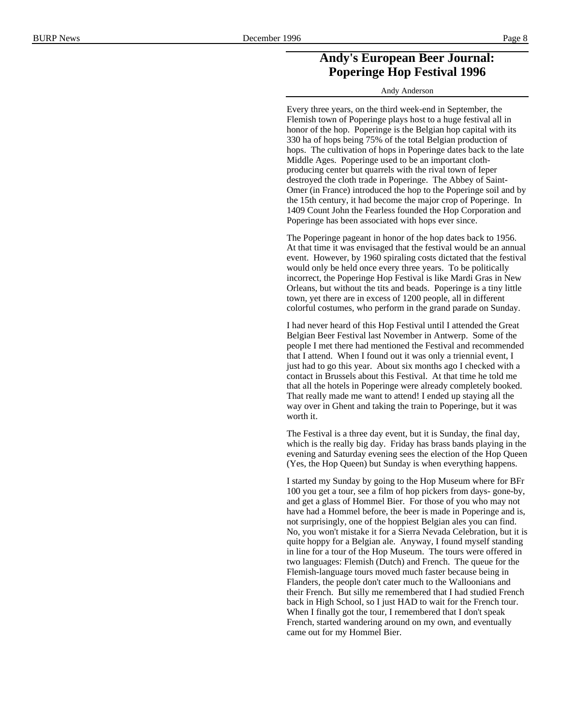## **Andy's European Beer Journal: Poperinge Hop Festival 1996**

Andy Anderson

Every three years, on the third week-end in September, the Flemish town of Poperinge plays host to a huge festival all in honor of the hop. Poperinge is the Belgian hop capital with its 330 ha of hops being 75% of the total Belgian production of hops. The cultivation of hops in Poperinge dates back to the late Middle Ages. Poperinge used to be an important clothproducing center but quarrels with the rival town of Ieper destroyed the cloth trade in Poperinge. The Abbey of Saint-Omer (in France) introduced the hop to the Poperinge soil and by the 15th century, it had become the major crop of Poperinge. In 1409 Count John the Fearless founded the Hop Corporation and Poperinge has been associated with hops ever since.

The Poperinge pageant in honor of the hop dates back to 1956. At that time it was envisaged that the festival would be an annual event. However, by 1960 spiraling costs dictated that the festival would only be held once every three years. To be politically incorrect, the Poperinge Hop Festival is like Mardi Gras in New Orleans, but without the tits and beads. Poperinge is a tiny little town, yet there are in excess of 1200 people, all in different colorful costumes, who perform in the grand parade on Sunday.

I had never heard of this Hop Festival until I attended the Great Belgian Beer Festival last November in Antwerp. Some of the people I met there had mentioned the Festival and recommended that I attend. When I found out it was only a triennial event, I just had to go this year. About six months ago I checked with a contact in Brussels about this Festival. At that time he told me that all the hotels in Poperinge were already completely booked. That really made me want to attend! I ended up staying all the way over in Ghent and taking the train to Poperinge, but it was worth it.

The Festival is a three day event, but it is Sunday, the final day, which is the really big day. Friday has brass bands playing in the evening and Saturday evening sees the election of the Hop Queen (Yes, the Hop Queen) but Sunday is when everything happens.

I started my Sunday by going to the Hop Museum where for BFr 100 you get a tour, see a film of hop pickers from days- gone-by, and get a glass of Hommel Bier. For those of you who may not have had a Hommel before, the beer is made in Poperinge and is, not surprisingly, one of the hoppiest Belgian ales you can find. No, you won't mistake it for a Sierra Nevada Celebration, but it is quite hoppy for a Belgian ale. Anyway, I found myself standing in line for a tour of the Hop Museum. The tours were offered in two languages: Flemish (Dutch) and French. The queue for the Flemish-language tours moved much faster because being in Flanders, the people don't cater much to the Walloonians and their French. But silly me remembered that I had studied French back in High School, so I just HAD to wait for the French tour. When I finally got the tour, I remembered that I don't speak French, started wandering around on my own, and eventually came out for my Hommel Bier.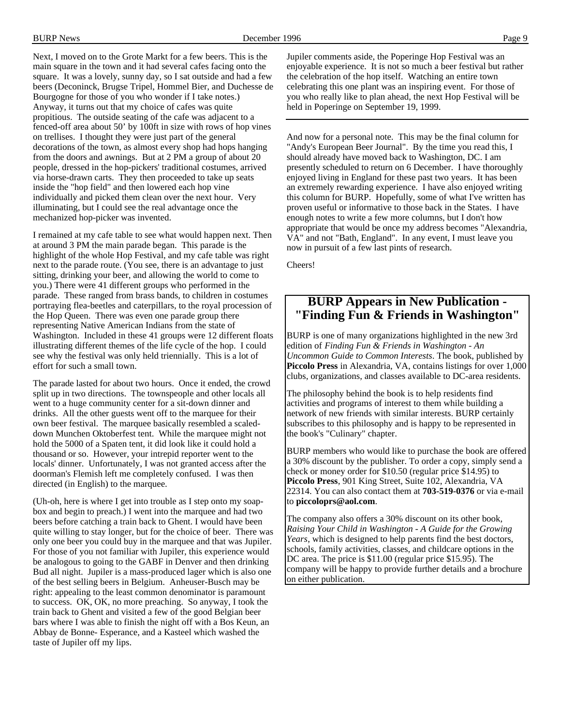Next, I moved on to the Grote Markt for a few beers. This is the main square in the town and it had several cafes facing onto the square. It was a lovely, sunny day, so I sat outside and had a few beers (Deconinck, Brugse Tripel, Hommel Bier, and Duchesse de Bourgogne for those of you who wonder if I take notes.) Anyway, it turns out that my choice of cafes was quite propitious. The outside seating of the cafe was adjacent to a fenced-off area about 50' by 100ft in size with rows of hop vines on trellises. I thought they were just part of the general decorations of the town, as almost every shop had hops hanging from the doors and awnings. But at 2 PM a group of about 20 people, dressed in the hop-pickers' traditional costumes, arrived via horse-drawn carts. They then proceeded to take up seats inside the "hop field" and then lowered each hop vine individually and picked them clean over the next hour. Very illuminating, but I could see the real advantage once the mechanized hop-picker was invented.

I remained at my cafe table to see what would happen next. Then at around 3 PM the main parade began. This parade is the highlight of the whole Hop Festival, and my cafe table was right next to the parade route. (You see, there is an advantage to just sitting, drinking your beer, and allowing the world to come to you.) There were 41 different groups who performed in the parade. These ranged from brass bands, to children in costumes portraying flea-beetles and caterpillars, to the royal procession of the Hop Queen. There was even one parade group there representing Native American Indians from the state of Washington. Included in these 41 groups were 12 different floats illustrating different themes of the life cycle of the hop. I could see why the festival was only held triennially. This is a lot of effort for such a small town.

The parade lasted for about two hours. Once it ended, the crowd split up in two directions. The townspeople and other locals all went to a huge community center for a sit-down dinner and drinks. All the other guests went off to the marquee for their own beer festival. The marquee basically resembled a scaleddown Munchen Oktoberfest tent. While the marquee might not hold the 5000 of a Spaten tent, it did look like it could hold a thousand or so. However, your intrepid reporter went to the locals' dinner. Unfortunately, I was not granted access after the doorman's Flemish left me completely confused. I was then directed (in English) to the marquee.

(Uh-oh, here is where I get into trouble as I step onto my soapbox and begin to preach.) I went into the marquee and had two beers before catching a train back to Ghent. I would have been quite willing to stay longer, but for the choice of beer. There was only one beer you could buy in the marquee and that was Jupiler. For those of you not familiar with Jupiler, this experience would be analogous to going to the GABF in Denver and then drinking Bud all night. Jupiler is a mass-produced lager which is also one of the best selling beers in Belgium. Anheuser-Busch may be right: appealing to the least common denominator is paramount to success. OK, OK, no more preaching. So anyway, I took the train back to Ghent and visited a few of the good Belgian beer bars where I was able to finish the night off with a Bos Keun, an Abbay de Bonne- Esperance, and a Kasteel which washed the taste of Jupiler off my lips.

Jupiler comments aside, the Poperinge Hop Festival was an enjoyable experience. It is not so much a beer festival but rather the celebration of the hop itself. Watching an entire town celebrating this one plant was an inspiring event. For those of you who really like to plan ahead, the next Hop Festival will be held in Poperinge on September 19, 1999.

And now for a personal note. This may be the final column for "Andy's European Beer Journal". By the time you read this, I should already have moved back to Washington, DC. I am presently scheduled to return on 6 December. I have thoroughly enjoyed living in England for these past two years. It has been an extremely rewarding experience. I have also enjoyed writing this column for BURP. Hopefully, some of what I've written has proven useful or informative to those back in the States. I have enough notes to write a few more columns, but I don't how appropriate that would be once my address becomes "Alexandria, VA" and not "Bath, England". In any event, I must leave you now in pursuit of a few last pints of research.

Cheers!

## **BURP Appears in New Publication - "Finding Fun & Friends in Washington"**

BURP is one of many organizations highlighted in the new 3rd edition of *Finding Fun & Friends in Washington - An Uncommon Guide to Common Interests*. The book, published by **Piccolo Press** in Alexandria, VA, contains listings for over 1,000 clubs, organizations, and classes available to DC-area residents.

The philosophy behind the book is to help residents find activities and programs of interest to them while building a network of new friends with similar interests. BURP certainly subscribes to this philosophy and is happy to be represented in the book's "Culinary" chapter.

BURP members who would like to purchase the book are offered a 30% discount by the publisher. To order a copy, simply send a check or money order for \$10.50 (regular price \$14.95) to **Piccolo Press**, 901 King Street, Suite 102, Alexandria, VA 22314. You can also contact them at **703-519-0376** or via e-mail to **piccoloprs@aol.com**.

The company also offers a 30% discount on its other book*, Raising Your Child in Washington - A Guide for the Growing Years*, which is designed to help parents find the best doctors, schools, family activities, classes, and childcare options in the DC area. The price is \$11.00 (regular price \$15.95). The company will be happy to provide further details and a brochure on either publication.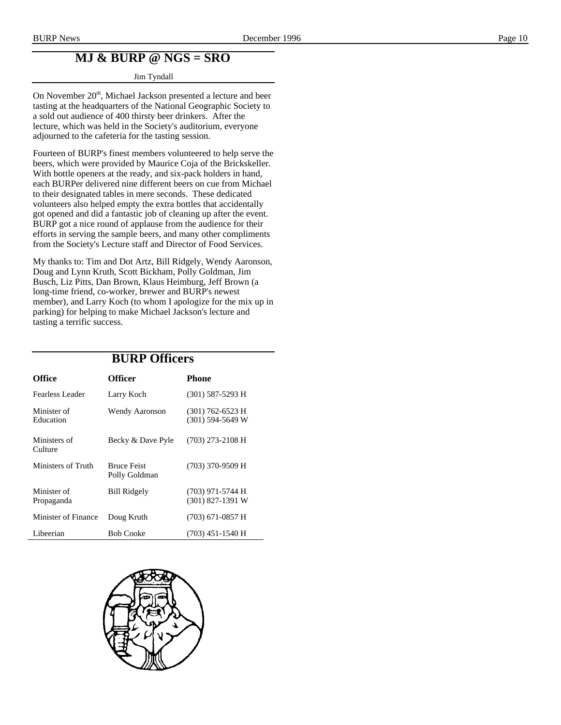# **MJ & BURP @ NGS = SRO**

#### Jim Tyndall

On November 20<sup>th</sup>, Michael Jackson presented a lecture and beer tasting at the headquarters of the National Geographic Society to a sold out audience of 400 thirsty beer drinkers. After the lecture, which was held in the Society's auditorium, everyone adjourned to the cafeteria for the tasting session.

Fourteen of BURP's finest members volunteered to help serve the beers, which were provided by Maurice Coja of the Brickskeller. With bottle openers at the ready, and six-pack holders in hand, each BURPer delivered nine different beers on cue from Michael to their designated tables in mere seconds. These dedicated volunteers also helped empty the extra bottles that accidentally got opened and did a fantastic job of cleaning up after the event. BURP got a nice round of applause from the audience for their efforts in serving the sample beers, and many other compliments from the Society's Lecture staff and Director of Food Services.

My thanks to: Tim and Dot Artz, Bill Ridgely, Wendy Aaronson, Doug and Lynn Kruth, Scott Bickham, Polly Goldman, Jim Busch, Liz Pitts, Dan Brown, Klaus Heimburg, Jeff Brown (a long-time friend, co-worker, brewer and BURP's newest member), and Larry Koch (to whom I apologize for the mix up in parking) for helping to make Michael Jackson's lecture and tasting a terrific success.

|                           | <b>BURP Officers</b>                |                                          |
|---------------------------|-------------------------------------|------------------------------------------|
| Office                    | <b>Officer</b>                      | Phone                                    |
| Fearless Leader           | Larry Koch                          | $(301)$ 587-5293 H                       |
| Minister of<br>Education  | Wendy Aaronson                      | $(301)$ 762-6523 H<br>$(301)$ 594-5649 W |
| Ministers of<br>Culture   | Becky & Dave Pyle                   | $(703)$ 273-2108 H                       |
| Ministers of Truth        | <b>Bruce Feist</b><br>Polly Goldman | $(703)$ 370-9509 H                       |
| Minister of<br>Propaganda | <b>Bill Ridgely</b>                 | (703) 971-5744 H<br>$(301)$ 827-1391 W   |
| Minister of Finance       | Doug Kruth                          | (703) 671-0857 H                         |
| Libeerian                 | <b>Bob Cooke</b>                    | (703) 451-1540 H                         |

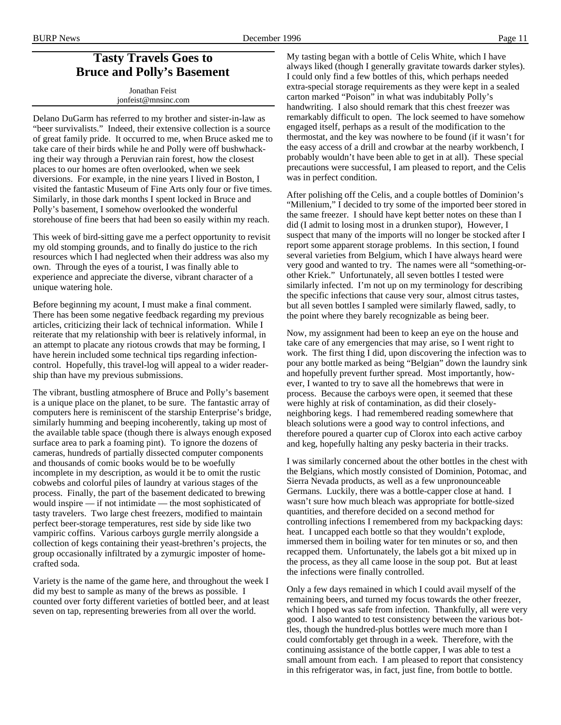## **Tasty Travels Goes to Bruce and Polly's Basement**

Jonathan Feist jonfeist@mnsinc.com

Delano DuGarm has referred to my brother and sister-in-law as "beer survivalists." Indeed, their extensive collection is a source of great family pride. It occurred to me, when Bruce asked me to take care of their birds while he and Polly were off bushwhacking their way through a Peruvian rain forest, how the closest places to our homes are often overlooked, when we seek diversions. For example, in the nine years I lived in Boston, I visited the fantastic Museum of Fine Arts only four or five times. Similarly, in those dark months I spent locked in Bruce and Polly's basement, I somehow overlooked the wonderful storehouse of fine beers that had been so easily within my reach.

This week of bird-sitting gave me a perfect opportunity to revisit my old stomping grounds, and to finally do justice to the rich resources which I had neglected when their address was also my own. Through the eyes of a tourist, I was finally able to experience and appreciate the diverse, vibrant character of a unique watering hole.

Before beginning my acount, I must make a final comment. There has been some negative feedback regarding my previous articles, criticizing their lack of technical information. While I reiterate that my relationship with beer is relatively informal, in an attempt to placate any riotous crowds that may be forming, I have herein included some technical tips regarding infectioncontrol. Hopefully, this travel-log will appeal to a wider readership than have my previous submissions.

The vibrant, bustling atmosphere of Bruce and Polly's basement is a unique place on the planet, to be sure. The fantastic array of computers here is reminiscent of the starship Enterprise's bridge, similarly humming and beeping incoherently, taking up most of the available table space (though there is always enough exposed surface area to park a foaming pint). To ignore the dozens of cameras, hundreds of partially dissected computer components and thousands of comic books would be to be woefully incomplete in my description, as would it be to omit the rustic cobwebs and colorful piles of laundry at various stages of the process. Finally, the part of the basement dedicated to brewing would inspire — if not intimidate — the most sophisticated of tasty travelers. Two large chest freezers, modified to maintain perfect beer-storage temperatures, rest side by side like two vampiric coffins. Various carboys gurgle merrily alongside a collection of kegs containing their yeast-brethren's projects, the group occasionally infiltrated by a zymurgic imposter of homecrafted soda.

Variety is the name of the game here, and throughout the week I did my best to sample as many of the brews as possible. I counted over forty different varieties of bottled beer, and at least seven on tap, representing breweries from all over the world.

My tasting began with a bottle of Celis White, which I have always liked (though I generally gravitate towards darker styles). I could only find a few bottles of this, which perhaps needed extra-special storage requirements as they were kept in a sealed carton marked "Poison" in what was indubitably Polly's handwriting. I also should remark that this chest freezer was remarkably difficult to open. The lock seemed to have somehow engaged itself, perhaps as a result of the modification to the thermostat, and the key was nowhere to be found (if it wasn't for the easy access of a drill and crowbar at the nearby workbench, I probably wouldn't have been able to get in at all). These special precautions were successful, I am pleased to report, and the Celis was in perfect condition.

After polishing off the Celis, and a couple bottles of Dominion's "Millenium," I decided to try some of the imported beer stored in the same freezer. I should have kept better notes on these than I did (I admit to losing most in a drunken stupor), However, I suspect that many of the imports will no longer be stocked after I report some apparent storage problems. In this section, I found several varieties from Belgium, which I have always heard were very good and wanted to try. The names were all "something-orother Kriek." Unfortunately, all seven bottles I tested were similarly infected. I'm not up on my terminology for describing the specific infections that cause very sour, almost citrus tastes, but all seven bottles I sampled were similarly flawed, sadly, to the point where they barely recognizable as being beer.

Now, my assignment had been to keep an eye on the house and take care of any emergencies that may arise, so I went right to work. The first thing I did, upon discovering the infection was to pour any bottle marked as being "Belgian" down the laundry sink and hopefully prevent further spread. Most importantly, however, I wanted to try to save all the homebrews that were in process. Because the carboys were open, it seemed that these were highly at risk of contamination, as did their closelyneighboring kegs. I had remembered reading somewhere that bleach solutions were a good way to control infections, and therefore poured a quarter cup of Clorox into each active carboy and keg, hopefully halting any pesky bacteria in their tracks.

I was similarly concerned about the other bottles in the chest with the Belgians, which mostly consisted of Dominion, Potomac, and Sierra Nevada products, as well as a few unpronounceable Germans. Luckily, there was a bottle-capper close at hand. I wasn't sure how much bleach was appropriate for bottle-sized quantities, and therefore decided on a second method for controlling infections I remembered from my backpacking days: heat. I uncapped each bottle so that they wouldn't explode, immersed them in boiling water for ten minutes or so, and then recapped them. Unfortunately, the labels got a bit mixed up in the process, as they all came loose in the soup pot. But at least the infections were finally controlled.

Only a few days remained in which I could avail myself of the remaining beers, and turned my focus towards the other freezer, which I hoped was safe from infection. Thankfully, all were very good. I also wanted to test consistency between the various bottles, though the hundred-plus bottles were much more than I could comfortably get through in a week. Therefore, with the continuing assistance of the bottle capper, I was able to test a small amount from each. I am pleased to report that consistency in this refrigerator was, in fact, just fine, from bottle to bottle.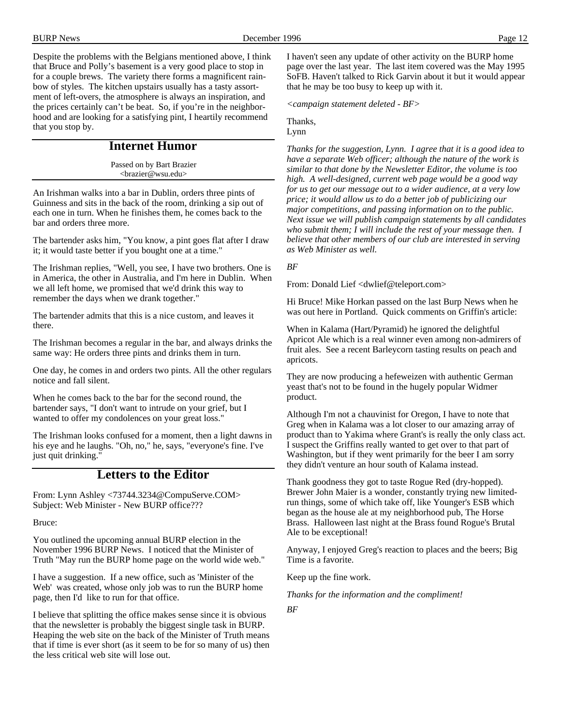Despite the problems with the Belgians mentioned above, I think that Bruce and Polly's basement is a very good place to stop in for a couple brews. The variety there forms a magnificent rainbow of styles. The kitchen upstairs usually has a tasty assortment of left-overs, the atmosphere is always an inspiration, and the prices certainly can't be beat. So, if you're in the neighborhood and are looking for a satisfying pint, I heartily recommend that you stop by.

## **Internet Humor**

Passed on by Bart Brazier <brazier@wsu.edu>

An Irishman walks into a bar in Dublin, orders three pints of Guinness and sits in the back of the room, drinking a sip out of each one in turn. When he finishes them, he comes back to the bar and orders three more.

The bartender asks him, "You know, a pint goes flat after I draw it; it would taste better if you bought one at a time."

The Irishman replies, "Well, you see, I have two brothers. One is in America, the other in Australia, and I'm here in Dublin. When we all left home, we promised that we'd drink this way to remember the days when we drank together."

The bartender admits that this is a nice custom, and leaves it there.

The Irishman becomes a regular in the bar, and always drinks the same way: He orders three pints and drinks them in turn.

One day, he comes in and orders two pints. All the other regulars notice and fall silent.

When he comes back to the bar for the second round, the bartender says, "I don't want to intrude on your grief, but I wanted to offer my condolences on your great loss."

The Irishman looks confused for a moment, then a light dawns in his eye and he laughs. "Oh, no," he, says, "everyone's fine. I've just quit drinking."

## **Letters to the Editor**

From: Lynn Ashley <73744.3234@CompuServe.COM> Subject: Web Minister - New BURP office???

Bruce:

You outlined the upcoming annual BURP election in the November 1996 BURP News. I noticed that the Minister of Truth "May run the BURP home page on the world wide web."

I have a suggestion. If a new office, such as 'Minister of the Web' was created, whose only job was to run the BURP home page, then I'd like to run for that office.

I believe that splitting the office makes sense since it is obvious that the newsletter is probably the biggest single task in BURP. Heaping the web site on the back of the Minister of Truth means that if time is ever short (as it seem to be for so many of us) then the less critical web site will lose out.

I haven't seen any update of other activity on the BURP home page over the last year. The last item covered was the May 1995 SoFB. Haven't talked to Rick Garvin about it but it would appear that he may be too busy to keep up with it.

*<campaign statement deleted - BF>*

Thanks,

Lynn

*Thanks for the suggestion, Lynn. I agree that it is a good idea to have a separate Web officer; although the nature of the work is similar to that done by the Newsletter Editor, the volume is too high. A well-designed, current web page would be a good way for us to get our message out to a wider audience, at a very low price; it would allow us to do a better job of publicizing our major competitions, and passing information on to the public. Next issue we will publish campaign statements by all candidates who submit them; I will include the rest of your message then. I believe that other members of our club are interested in serving as Web Minister as well.*

*BF*

From: Donald Lief <dwlief@teleport.com>

Hi Bruce! Mike Horkan passed on the last Burp News when he was out here in Portland. Quick comments on Griffin's article:

When in Kalama (Hart/Pyramid) he ignored the delightful Apricot Ale which is a real winner even among non-admirers of fruit ales. See a recent Barleycorn tasting results on peach and apricots.

They are now producing a hefeweizen with authentic German yeast that's not to be found in the hugely popular Widmer product.

Although I'm not a chauvinist for Oregon, I have to note that Greg when in Kalama was a lot closer to our amazing array of product than to Yakima where Grant's is really the only class act. I suspect the Griffins really wanted to get over to that part of Washington, but if they went primarily for the beer I am sorry they didn't venture an hour south of Kalama instead.

Thank goodness they got to taste Rogue Red (dry-hopped). Brewer John Maier is a wonder, constantly trying new limitedrun things, some of which take off, like Younger's ESB which began as the house ale at my neighborhood pub, The Horse Brass. Halloween last night at the Brass found Rogue's Brutal Ale to be exceptional!

Anyway, I enjoyed Greg's reaction to places and the beers; Big Time is a favorite.

Keep up the fine work.

*Thanks for the information and the compliment!*

*BF*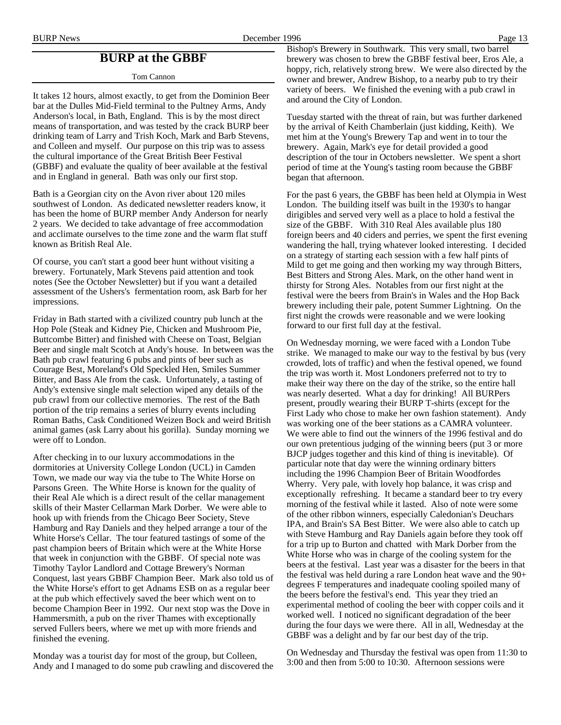## **BURP at the GBBF**

Tom Cannon

It takes 12 hours, almost exactly, to get from the Dominion Beer bar at the Dulles Mid-Field terminal to the Pultney Arms, Andy Anderson's local, in Bath, England. This is by the most direct means of transportation, and was tested by the crack BURP beer drinking team of Larry and Trish Koch, Mark and Barb Stevens, and Colleen and myself. Our purpose on this trip was to assess the cultural importance of the Great British Beer Festival (GBBF) and evaluate the quality of beer available at the festival and in England in general. Bath was only our first stop.

Bath is a Georgian city on the Avon river about 120 miles southwest of London. As dedicated newsletter readers know, it has been the home of BURP member Andy Anderson for nearly 2 years. We decided to take advantage of free accommodation and acclimate ourselves to the time zone and the warm flat stuff known as British Real Ale.

Of course, you can't start a good beer hunt without visiting a brewery. Fortunately, Mark Stevens paid attention and took notes (See the October Newsletter) but if you want a detailed assessment of the Ushers's fermentation room, ask Barb for her impressions.

Friday in Bath started with a civilized country pub lunch at the Hop Pole (Steak and Kidney Pie, Chicken and Mushroom Pie, Buttcombe Bitter) and finished with Cheese on Toast, Belgian Beer and single malt Scotch at Andy's house. In between was the Bath pub crawl featuring 6 pubs and pints of beer such as Courage Best, Moreland's Old Speckled Hen, Smiles Summer Bitter, and Bass Ale from the cask. Unfortunately, a tasting of Andy's extensive single malt selection wiped any details of the pub crawl from our collective memories. The rest of the Bath portion of the trip remains a series of blurry events including Roman Baths, Cask Conditioned Weizen Bock and weird British animal games (ask Larry about his gorilla). Sunday morning we were off to London.

After checking in to our luxury accommodations in the dormitories at University College London (UCL) in Camden Town, we made our way via the tube to The White Horse on Parsons Green. The White Horse is known for the quality of their Real Ale which is a direct result of the cellar management skills of their Master Cellarman Mark Dorber. We were able to hook up with friends from the Chicago Beer Society, Steve Hamburg and Ray Daniels and they helped arrange a tour of the White Horse's Cellar. The tour featured tastings of some of the past champion beers of Britain which were at the White Horse that week in conjunction with the GBBF. Of special note was Timothy Taylor Landlord and Cottage Brewery's Norman Conquest, last years GBBF Champion Beer. Mark also told us of the White Horse's effort to get Adnams ESB on as a regular beer at the pub which effectively saved the beer which went on to become Champion Beer in 1992. Our next stop was the Dove in Hammersmith, a pub on the river Thames with exceptionally served Fullers beers, where we met up with more friends and finished the evening.

Monday was a tourist day for most of the group, but Colleen, Andy and I managed to do some pub crawling and discovered the Bishop's Brewery in Southwark. This very small, two barrel brewery was chosen to brew the GBBF festival beer, Eros Ale, a hoppy, rich, relatively strong brew. We were also directed by the owner and brewer, Andrew Bishop, to a nearby pub to try their variety of beers. We finished the evening with a pub crawl in and around the City of London.

Tuesday started with the threat of rain, but was further darkened by the arrival of Keith Chamberlain (just kidding, Keith). We met him at the Young's Brewery Tap and went in to tour the brewery. Again, Mark's eye for detail provided a good description of the tour in Octobers newsletter. We spent a short period of time at the Young's tasting room because the GBBF began that afternoon.

For the past 6 years, the GBBF has been held at Olympia in West London. The building itself was built in the 1930's to hangar dirigibles and served very well as a place to hold a festival the size of the GBBF. With 310 Real Ales available plus 180 foreign beers and 40 ciders and perries, we spent the first evening wandering the hall, trying whatever looked interesting. I decided on a strategy of starting each session with a few half pints of Mild to get me going and then working my way through Bitters, Best Bitters and Strong Ales. Mark, on the other hand went in thirsty for Strong Ales. Notables from our first night at the festival were the beers from Brain's in Wales and the Hop Back brewery including their pale, potent Summer Lightning. On the first night the crowds were reasonable and we were looking forward to our first full day at the festival.

On Wednesday morning, we were faced with a London Tube strike. We managed to make our way to the festival by bus (very crowded, lots of traffic) and when the festival opened, we found the trip was worth it. Most Londoners preferred not to try to make their way there on the day of the strike, so the entire hall was nearly deserted. What a day for drinking! All BURPers present, proudly wearing their BURP T-shirts (except for the First Lady who chose to make her own fashion statement). Andy was working one of the beer stations as a CAMRA volunteer. We were able to find out the winners of the 1996 festival and do our own pretentious judging of the winning beers (put 3 or more BJCP judges together and this kind of thing is inevitable). Of particular note that day were the winning ordinary bitters including the 1996 Champion Beer of Britain Woodfordes Wherry. Very pale, with lovely hop balance, it was crisp and exceptionally refreshing. It became a standard beer to try every morning of the festival while it lasted. Also of note were some of the other ribbon winners, especially Caledonian's Deuchars IPA, and Brain's SA Best Bitter. We were also able to catch up with Steve Hamburg and Ray Daniels again before they took off for a trip up to Burton and chatted with Mark Dorber from the White Horse who was in charge of the cooling system for the beers at the festival. Last year was a disaster for the beers in that the festival was held during a rare London heat wave and the 90+ degrees F temperatures and inadequate cooling spoiled many of the beers before the festival's end. This year they tried an experimental method of cooling the beer with copper coils and it worked well. I noticed no significant degradation of the beer during the four days we were there. All in all, Wednesday at the GBBF was a delight and by far our best day of the trip.

On Wednesday and Thursday the festival was open from 11:30 to 3:00 and then from 5:00 to 10:30. Afternoon sessions were